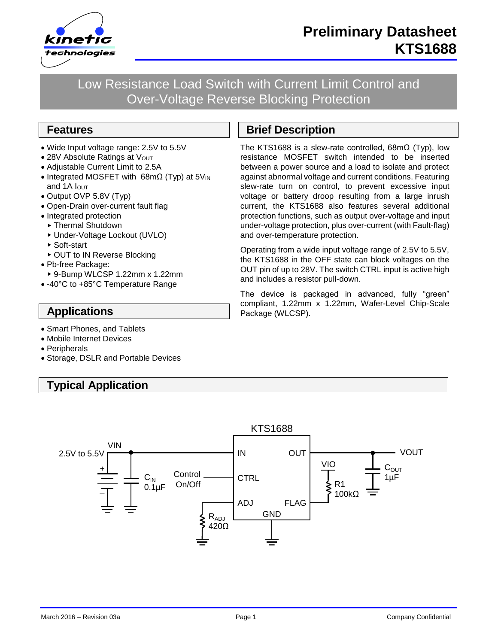

Low Resistance Load Switch with Current Limit Control and Over-Voltage Reverse Blocking Protection

#### **Features**

- Wide Input voltage range: 2.5V to 5.5V
- 28V Absolute Ratings at Vout
- Adjustable Current Limit to 2.5A
- Integrated MOSFET with 68mΩ (Typ) at 5V<sub>IN</sub> and 1A  $I$ <sub>OUT</sub>
- Output OVP 5.8V (Typ)
- Open-Drain over-current fault flag
- Integrated protection
- ▶ Thermal Shutdown
- Under-Voltage Lockout (UVLO)
- ▶ Soft-start
- ▶ OUT to IN Reverse Blocking
- Pb-free Package:
- 9-Bump WLCSP 1.22mm x 1.22mm
- -40°C to +85°C Temperature Range

# **Applications**

- Smart Phones, and Tablets
- Mobile Internet Devices
- Peripherals
- Storage, DSLR and Portable Devices

# **Typical Application**

# **Brief Description**

The KTS1688 is a slew-rate controlled, 68mΩ (Typ), low resistance MOSFET switch intended to be inserted between a power source and a load to isolate and protect against abnormal voltage and current conditions. Featuring slew-rate turn on control, to prevent excessive input voltage or battery droop resulting from a large inrush current, the KTS1688 also features several additional protection functions, such as output over-voltage and input under-voltage protection, plus over-current (with Fault-flag) and over-temperature protection.

Operating from a wide input voltage range of 2.5V to 5.5V, the KTS1688 in the OFF state can block voltages on the OUT pin of up to 28V. The switch CTRL input is active high and includes a resistor pull-down.

The device is packaged in advanced, fully "green" compliant, 1.22mm x 1.22mm, Wafer-Level Chip-Scale Package (WLCSP).

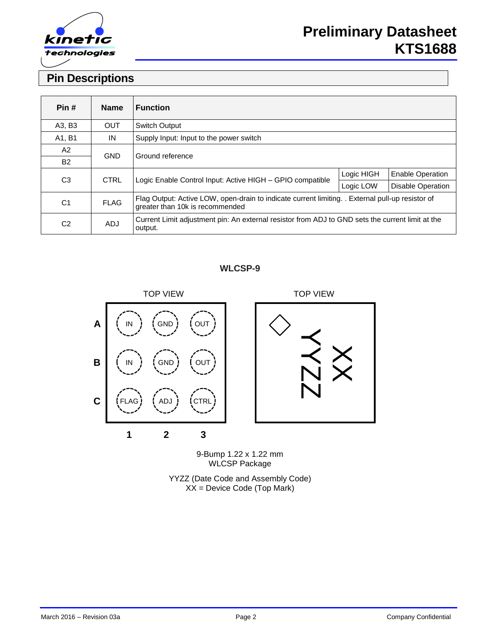

# **Pin Descriptions**

| Pin#           | <b>Name</b> | <b>Function</b>                                                                                                                     |            |                          |  |
|----------------|-------------|-------------------------------------------------------------------------------------------------------------------------------------|------------|--------------------------|--|
| A3, B3         | <b>OUT</b>  | <b>Switch Output</b>                                                                                                                |            |                          |  |
| A1, B1         | IN          | Supply Input: Input to the power switch                                                                                             |            |                          |  |
| A2             | <b>GND</b>  | Ground reference                                                                                                                    |            |                          |  |
| <b>B2</b>      |             |                                                                                                                                     |            |                          |  |
| C <sub>3</sub> | <b>CTRL</b> | Logic Enable Control Input: Active HIGH - GPIO compatible                                                                           | Logic HIGH | <b>Enable Operation</b>  |  |
|                |             |                                                                                                                                     | Logic LOW  | <b>Disable Operation</b> |  |
| C <sub>1</sub> | <b>FLAG</b> | Flag Output: Active LOW, open-drain to indicate current limiting. . External pull-up resistor of<br>greater than 10k is recommended |            |                          |  |
| C <sub>2</sub> | <b>ADJ</b>  | Current Limit adjustment pin: An external resistor from ADJ to GND sets the current limit at the<br>output.                         |            |                          |  |

#### **WLCSP-9**



9-Bump 1.22 x 1.22 mm WLCSP Package

YYZZ (Date Code and Assembly Code) XX = Device Code (Top Mark)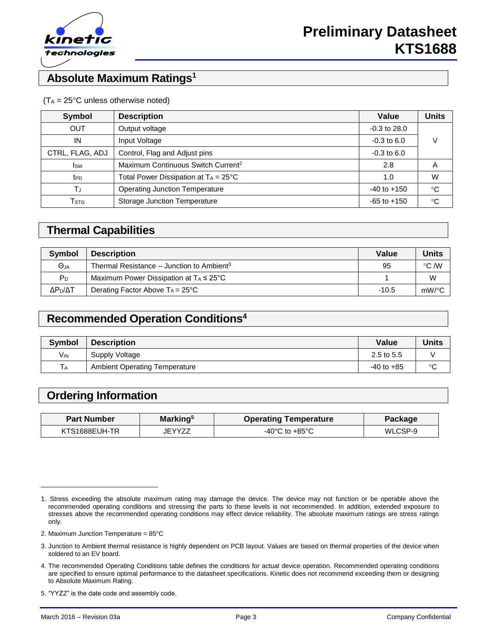

# **Absolute Maximum Ratings<sup>1</sup>**

#### $(T_A = 25^{\circ}C$  unless otherwise noted)

| <b>Symbol</b>               | <b>Description</b>                             | Value            | <b>Units</b> |
|-----------------------------|------------------------------------------------|------------------|--------------|
| <b>OUT</b>                  | Output voltage                                 | $-0.3$ to $28.0$ |              |
| IN                          | Input Voltage                                  | $-0.3$ to 6.0    | V            |
| CTRL, FLAG, ADJ             | Control, Flag and Adjust pins                  | $-0.3$ to 6.0    |              |
| <b>I</b> sw                 | Maximum Continuous Switch Current <sup>2</sup> | 2.8              | Α            |
| t <sub>PD</sub>             | Total Power Dissipation at $T_A = 25^{\circ}C$ | 1.0              | W            |
| TJ                          | <b>Operating Junction Temperature</b>          | $-40$ to $+150$  | °C           |
| $\mathsf{T}_{\textsf{STG}}$ | <b>Storage Junction Temperature</b>            | $-65$ to $+150$  | °C           |

#### **Thermal Capabilities**

| <b>Symbol</b>       | <b>Description</b>                                    | Value   | <b>Units</b>  |
|---------------------|-------------------------------------------------------|---------|---------------|
| $\Theta_{JA}$       | Thermal Resistance – Junction to Ambient <sup>3</sup> | 95      | $\degree$ C M |
| P <sub>D</sub>      | Maximum Power Dissipation at $T_A \leq 25^{\circ}$ C  |         | W             |
| ΔΡ <sub>η</sub> /ΔΤ | Derating Factor Above $Ta = 25^{\circ}C$              | $-10.5$ | $mW$ /°C      |

# **Recommended Operation Conditions<sup>4</sup>**

| <b>Symbol</b>         | <b>Description</b>                   | Value          | <b>Units</b> |
|-----------------------|--------------------------------------|----------------|--------------|
| <b>V<sub>IN</sub></b> | Supply Voltage                       | 2.5 to 5.5     |              |
| $T_A$                 | <b>Ambient Operating Temperature</b> | $-40$ to $+85$ | $\sim$       |

# **Ordering Information**

| <b>Part Number</b> | Marking <sup>5</sup> | <b>Operating Temperature</b>         | Package |
|--------------------|----------------------|--------------------------------------|---------|
| KTS1688EUH-TR      | iFYY77               | -40 $^{\circ}$ C to +85 $^{\circ}$ C | WLCSP-9 |

2. Maximum Junction Temperature = 85°C

l

<sup>1.</sup> Stress exceeding the absolute maximum rating may damage the device. The device may not function or be operable above the recommended operating conditions and stressing the parts to these levels is not recommended. In addition, extended exposure to stresses above the recommended operating conditions may effect device reliability. The absolute maximum ratings are stress ratings only.

<sup>3.</sup> Junction to Ambient thermal resistance is highly dependent on PCB layout. Values are based on thermal properties of the device when soldered to an EV board.

<sup>4.</sup> The recommended Operating Conditions table defines the conditions for actual device operation. Recommended operating conditions are specified to ensure optimal performance to the datasheet specifications. Kinetic does not recommend exceeding them or designing to Absolute Maximum Rating.

<sup>5.</sup> "YYZZ" is the date code and assembly code.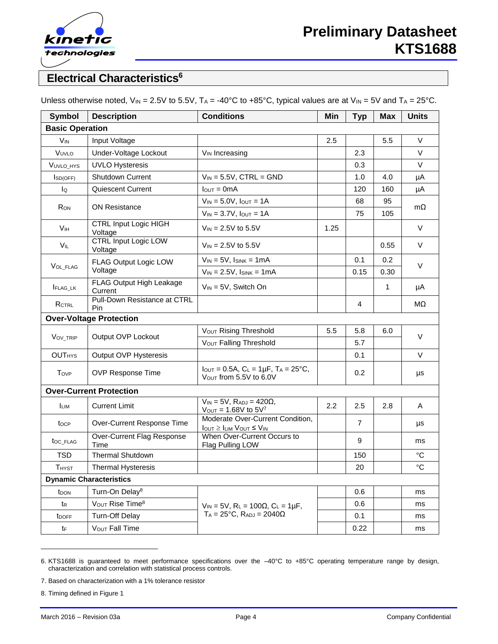

# **Electrical Characteristics<sup>6</sup>**

| Symbol                 | <b>Description</b>                      | <b>Conditions</b>                                                                                            | Min  | <b>Typ</b>     | <b>Max</b>   | <b>Units</b> |
|------------------------|-----------------------------------------|--------------------------------------------------------------------------------------------------------------|------|----------------|--------------|--------------|
| <b>Basic Operation</b> |                                         |                                                                                                              |      |                |              |              |
| <b>V<sub>IN</sub></b>  | Input Voltage                           |                                                                                                              | 2.5  |                | 5.5          | $\vee$       |
| VUVLO                  | Under-Voltage Lockout                   | V <sub>IN</sub> Increasing                                                                                   |      | 2.3            |              | V            |
| VUVLO HYS              | <b>UVLO Hysteresis</b>                  |                                                                                                              |      | 0.3            |              | $\vee$       |
| Iso(OFF)               | <b>Shutdown Current</b>                 | $V_{IN} = 5.5V$ , CTRL = GND                                                                                 |      | 1.0            | 4.0          | μA           |
| lo                     | <b>Quiescent Current</b>                | $IOUT = 0mA$                                                                                                 |      | 120            | 160          | μA           |
| R <sub>ON</sub>        |                                         | $V_{IN} = 5.0V$ , $I_{OUT} = 1A$                                                                             |      | 68             | 95           | mΩ           |
|                        | <b>ON Resistance</b>                    | $V_{IN} = 3.7V$ , $I_{OUT} = 1A$                                                                             |      | 75             | 105          |              |
| V <sub>IH</sub>        | <b>CTRL Input Logic HIGH</b><br>Voltage | $V_{IN} = 2.5V$ to 5.5V                                                                                      | 1.25 |                |              | V            |
| $V_{IL}$               | <b>CTRL Input Logic LOW</b><br>Voltage  | $V_{IN} = 2.5V$ to 5.5V                                                                                      |      |                | 0.55         | V            |
|                        | FLAG Output Logic LOW                   | $V_{IN} = 5V$ , $I_{SINK} = 1mA$                                                                             |      | 0.1            | 0.2          | $\vee$       |
| VOL_FLAG               | Voltage                                 | $V_{IN} = 2.5V$ , $I_{SINK} = 1mA$                                                                           |      | 0.15           | 0.30         |              |
| <b>I</b> FLAG_LK       | FLAG Output High Leakage<br>Current     | $V_{IN} = 5V$ , Switch On                                                                                    |      |                | $\mathbf{1}$ | μA           |
| RCTRL                  | Pull-Down Resistance at CTRL<br>Pin     |                                                                                                              |      | 4              |              | MΩ           |
|                        | <b>Over-Voltage Protection</b>          |                                                                                                              |      |                |              |              |
| VOV_TRIP               | Output OVP Lockout                      | Vout Rising Threshold                                                                                        | 5.5  | 5.8            | 6.0          | V            |
|                        |                                         | V <sub>OUT</sub> Falling Threshold                                                                           |      | 5.7            |              |              |
| <b>OUTHYS</b>          | Output OVP Hysteresis                   |                                                                                                              |      | 0.1            |              | V            |
| Tovp                   | OVP Response Time                       | $I_{\text{OUT}} = 0.5A, C_{\text{L}} = 1\mu F, T_A = 25^{\circ}C,$<br>Vout from 5.5V to 6.0V                 |      | 0.2            |              | μs           |
|                        | <b>Over-Current Protection</b>          |                                                                                                              |      |                |              |              |
| <b>LIM</b>             | <b>Current Limit</b>                    | $V_{IN}$ = 5V, $R_{ADJ}$ = 420 $\Omega$ ,<br>$V_{OUT} = 1.68V$ to $5V7$                                      | 2.2  | 2.5            | 2.8          | Α            |
| tocp                   | Over-Current Response Time              | Moderate Over-Current Condition,<br>$I_{\text{OUT}} \geq I_{\text{LIM}}$ $V_{\text{OUT}} \leq V_{\text{IN}}$ |      | $\overline{7}$ |              | μs           |
| toc_FLAG               | Over-Current Flag Response<br>Time      | When Over-Current Occurs to<br>Flag Pulling LOW                                                              |      | 9              |              | ms           |
| <b>TSD</b>             | <b>Thermal Shutdown</b>                 |                                                                                                              |      | 150            |              | $^{\circ}C$  |
| <b>THYST</b>           | <b>Thermal Hysteresis</b>               |                                                                                                              |      | 20             |              | $^{\circ}C$  |
|                        | <b>Dynamic Characteristics</b>          |                                                                                                              |      |                |              |              |
| t <sub>DON</sub>       | Turn-On Delay <sup>8</sup>              |                                                                                                              |      | 0.6            |              | ms           |
| tr                     | VOUT Rise Time <sup>8</sup>             | $V_{IN} = 5V$ , $R_L = 100\Omega$ , $C_L = 1 \mu F$ ,                                                        |      | 0.6            |              | ms           |
| t <sub>DOFF</sub>      | <b>Turn-Off Delay</b>                   | $T_A = 25$ °C, $R_{ADJ} = 2040\Omega$                                                                        |      | 0.1            |              | ms           |
| $t_{\mathsf{F}}$       | V <sub>OUT</sub> Fall Time              |                                                                                                              |      | 0.22           |              | ms           |

Unless otherwise noted,  $V_{IN} = 2.5V$  to 5.5V,  $T_A = -40^{\circ}C$  to  $+85^{\circ}C$ , typical values are at  $V_{IN} = 5V$  and  $T_A = 25^{\circ}C$ .

7. Based on characterization with a 1% tolerance resistor

8. Timing defined in Figure 1

l

<sup>6.</sup> KTS1688 is guaranteed to meet performance specifications over the –40°C to +85°C operating temperature range by design, characterization and correlation with statistical process controls.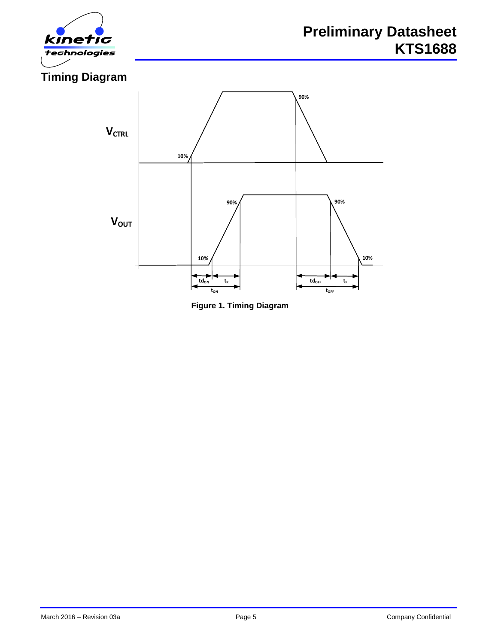



**Figure 1. Timing Diagram**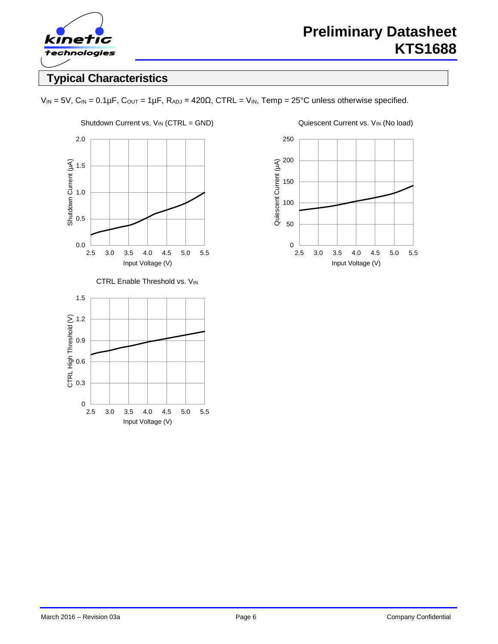

# **Typical Characteristics**

 $V_{IN} = 5V$ ,  $C_{IN} = 0.1 \mu F$ ,  $C_{OUT} = 1 \mu F$ ,  $R_{ADJ} = 420 \Omega$ ,  $CTRL = V_{IN}$ ,  $Temp = 25°C$  unless otherwise specified.



CTRL Enable Threshold vs. VIN



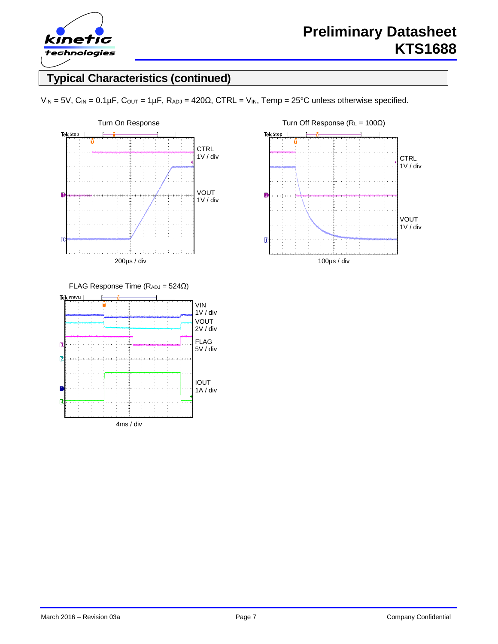

# **Typical Characteristics (continued)**

 $V_{IN} = 5V$ ,  $C_{IN} = 0.1 \mu F$ ,  $C_{OUT} = 1 \mu F$ ,  $R_{ADJ} = 420 \Omega$ ,  $CTRL = V_{IN}$ ,  $Temp = 25^{\circ}C$  unless otherwise specified.



Tek Stop **CTRL** 1V / div  $\overline{3}$ VOUT 1V / div  $\overline{a}$ 100µs / div



March 2016 – Revision 03a **Page 7** Page 7 **Page 7** Company Confidential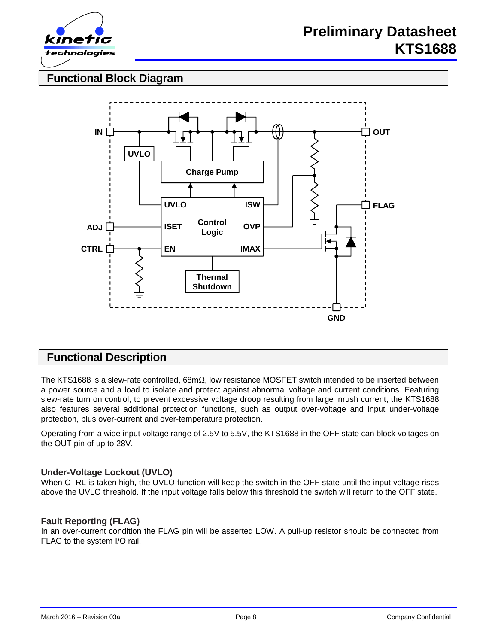

# **Functional Block Diagram**



# **Functional Description**

The KTS1688 is a slew-rate controlled, 68mΩ, low resistance MOSFET switch intended to be inserted between a power source and a load to isolate and protect against abnormal voltage and current conditions. Featuring slew-rate turn on control, to prevent excessive voltage droop resulting from large inrush current, the KTS1688 also features several additional protection functions, such as output over-voltage and input under-voltage protection, plus over-current and over-temperature protection.

Operating from a wide input voltage range of 2.5V to 5.5V, the KTS1688 in the OFF state can block voltages on the OUT pin of up to 28V.

#### **Under-Voltage Lockout (UVLO)**

When CTRL is taken high, the UVLO function will keep the switch in the OFF state until the input voltage rises above the UVLO threshold. If the input voltage falls below this threshold the switch will return to the OFF state.

#### **Fault Reporting (FLAG)**

In an over-current condition the FLAG pin will be asserted LOW. A pull-up resistor should be connected from FLAG to the system I/O rail.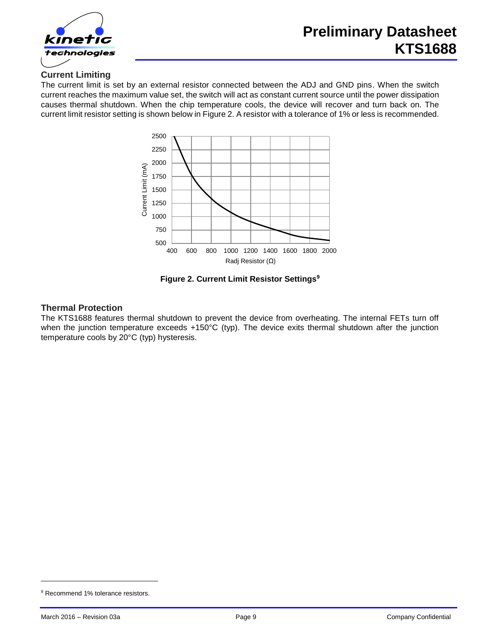

#### **Current Limiting**

The current limit is set by an external resistor connected between the ADJ and GND pins. When the switch current reaches the maximum value set, the switch will act as constant current source until the power dissipation causes thermal shutdown. When the chip temperature cools, the device will recover and turn back on. The current limit resistor setting is shown below in [Figure 2.](#page-8-0) A resistor with a tolerance of 1% or less is recommended.



**Figure 2. Current Limit Resistor Settings<sup>9</sup>**

#### <span id="page-8-0"></span>**Thermal Protection**

The KTS1688 features thermal shutdown to prevent the device from overheating. The internal FETs turn off when the junction temperature exceeds +150°C (typ). The device exits thermal shutdown after the junction temperature cools by 20°C (typ) hysteresis.

l

<sup>&</sup>lt;sup>9</sup> Recommend 1% tolerance resistors.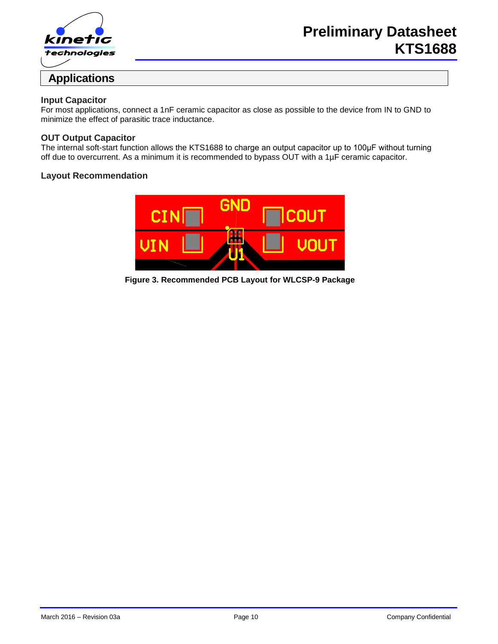

#### **Input Capacitor**

For most applications, connect a 1nF ceramic capacitor as close as possible to the device from IN to GND to minimize the effect of parasitic trace inductance.

#### **OUT Output Capacitor**

The internal soft-start function allows the KTS1688 to charge an output capacitor up to 100μF without turning off due to overcurrent. As a minimum it is recommended to bypass OUT with a 1µF ceramic capacitor.

#### **Layout Recommendation**



**Figure 3. Recommended PCB Layout for WLCSP-9 Package**